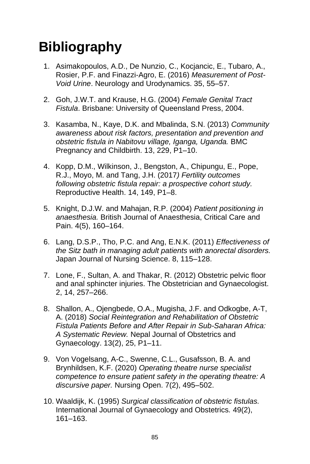## **Bibliography**

- 1. Asimakopoulos, A.D., De Nunzio, C., Kocjancic, E., Tubaro, A., Rosier, P.F. and Finazzi-Agro, E. (2016) *Measurement of Post-Void Urine*. Neurology and Urodynamics. 35, 55–57.
- 2. Goh, J.W.T. and Krause, H.G. (2004) *Female Genital Tract Fistula*. Brisbane: University of Queensland Press, 2004.
- 3. Kasamba, N., Kaye, D.K. and Mbalinda, S.N. (2013) *Community awareness about risk factors, presentation and prevention and obstetric fistula in Nabitovu village, Iganga, Uganda.* BMC Pregnancy and Childbirth. 13, 229, P1–10.
- 4. Kopp, D.M., Wilkinson, J., Bengston, A., Chipungu, E., Pope, R.J., Moyo, M. and Tang, J.H. (2017*) Fertility outcomes following obstetric fistula repair: a prospective cohort study.*  Reproductive Health. 14, 149, P1–8.
- 5. Knight, D.J.W. and Mahajan, R.P. (2004) *Patient positioning in anaesthesia.* British Journal of Anaesthesia, Critical Care and Pain. 4(5), 160–164.
- 6. Lang, D.S.P., Tho, P.C. and Ang, E.N.K. (2011) *Effectiveness of the Sitz bath in managing adult patients with anorectal disorders.* Japan Journal of Nursing Science. 8, 115–128.
- 7. Lone, F., Sultan, A. and Thakar, R. (2012) Obstetric pelvic floor and anal sphincter injuries. The Obstetrician and Gynaecologist. 2, 14, 257–266.
- 8. Shallon, A., Ojengbede, O.A., Mugisha, J.F. and Odkogbe, A-T, A. (2018) *Social Reintegration and Rehabilitation of Obstetric Fistula Patients Before and After Repair in Sub-Saharan Africa: A Systematic Review.* Nepal Journal of Obstetrics and Gynaecology. 13(2), 25, P1–11.
- 9. Von Vogelsang, A-C., Swenne, C.L., Gusafsson, B. A. and Brynhildsen, K.F. (2020) *Operating theatre nurse specialist competence to ensure patient safety in the operating theatre: A discursive paper.* Nursing Open. 7(2), 495–502.
- 10. Waaldijk, K. (1995) *Surgical classification of obstetric fistulas.*  International Journal of Gynaecology and Obstetrics*.* 49(2), 161–163.